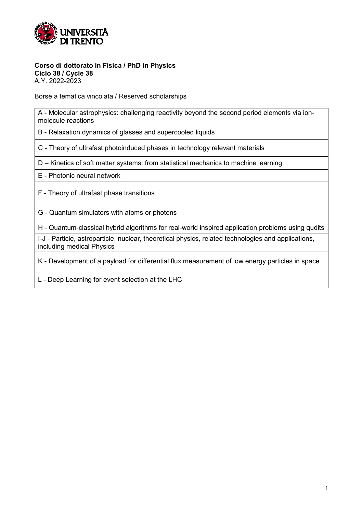

#### **Corso di dottorato in Fisica / PhD in Physics Ciclo 38 / Cycle 38**

A.Y. 2022-2023

Borse a tematica vincolata / Reserved scholarships

A - Molecular astrophysics: challenging reactivity beyond the second period elements via ionmolecule reactions

B - Relaxation dynamics of glasses and supercooled liquids

C - Theory of ultrafast photoinduced phases in technology relevant materials

D – Kinetics of soft matter systems: from statistical mechanics to machine learning

E - Photonic neural network

F - Theory of ultrafast phase transitions

G - Quantum simulators with atoms or photons

H - Quantum-classical hybrid algorithms for real-world inspired application problems using qudits

I-J - Particle, astroparticle, nuclear, theoretical physics, related technologies and applications, including medical Physics

K - Development of a payload for differential flux measurement of low energy particles in space

L - Deep Learning for event selection at the LHC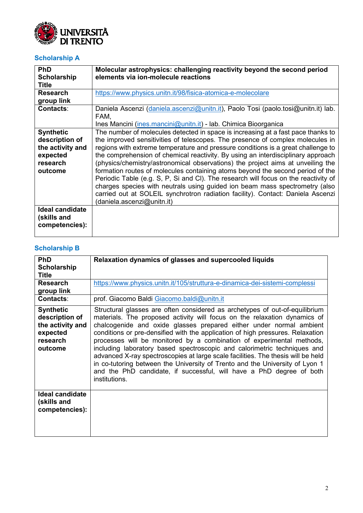

### **Scholarship A**

| PhD                    | Molecular astrophysics: challenging reactivity beyond the second period             |
|------------------------|-------------------------------------------------------------------------------------|
| <b>Scholarship</b>     | elements via ion-molecule reactions                                                 |
| <b>Title</b>           |                                                                                     |
| <b>Research</b>        | https://www.physics.unitn.it/98/fisica-atomica-e-molecolare                         |
| group link             |                                                                                     |
| <b>Contacts:</b>       | Daniela Ascenzi (daniela ascenzi@unitn.it), Paolo Tosi (paolo.tosi@unitn.it) lab.   |
|                        | FAM,                                                                                |
|                        | Ines Mancini (ines.mancini@unitn.it) - lab. Chimica Bioorganica                     |
| <b>Synthetic</b>       | The number of molecules detected in space is increasing at a fast pace thanks to    |
| description of         | the improved sensitivities of telescopes. The presence of complex molecules in      |
| the activity and       | regions with extreme temperature and pressure conditions is a great challenge to    |
| expected               | the comprehension of chemical reactivity. By using an interdisciplinary approach    |
| research               | (physics/chemistry/astronomical observations) the project aims at unveiling the     |
| outcome                | formation routes of molecules containing atoms beyond the second period of the      |
|                        | Periodic Table (e.g. S, P, Si and CI). The research will focus on the reactivity of |
|                        | charges species with neutrals using guided ion beam mass spectrometry (also         |
|                        | carried out at SOLEIL synchrotron radiation facility). Contact: Daniela Ascenzi     |
|                        | (daniela.ascenzi@unitn.it)                                                          |
| <b>Ideal candidate</b> |                                                                                     |
| (skills and            |                                                                                     |
| competencies):         |                                                                                     |
|                        |                                                                                     |

# **Scholarship B**

| PhD<br><b>Scholarship</b>                                                                 | Relaxation dynamics of glasses and supercooled liquids                                                                                                                                                                                                                                                                                                                                                                                                                                                                                                                                                                                                                                                                              |
|-------------------------------------------------------------------------------------------|-------------------------------------------------------------------------------------------------------------------------------------------------------------------------------------------------------------------------------------------------------------------------------------------------------------------------------------------------------------------------------------------------------------------------------------------------------------------------------------------------------------------------------------------------------------------------------------------------------------------------------------------------------------------------------------------------------------------------------------|
| <b>Title</b>                                                                              |                                                                                                                                                                                                                                                                                                                                                                                                                                                                                                                                                                                                                                                                                                                                     |
| <b>Research</b><br>group link                                                             | https://www.physics.unitn.it/105/struttura-e-dinamica-dei-sistemi-complessi                                                                                                                                                                                                                                                                                                                                                                                                                                                                                                                                                                                                                                                         |
| <b>Contacts:</b>                                                                          | prof. Giacomo Baldi Giacomo.baldi@unitn.it                                                                                                                                                                                                                                                                                                                                                                                                                                                                                                                                                                                                                                                                                          |
| <b>Synthetic</b><br>description of<br>the activity and<br>expected<br>research<br>outcome | Structural glasses are often considered as archetypes of out-of-equilibrium<br>materials. The proposed activity will focus on the relaxation dynamics of<br>chalcogenide and oxide glasses prepared either under normal ambient<br>conditions or pre-densified with the application of high pressures. Relaxation<br>processes will be monitored by a combination of experimental methods,<br>including laboratory based spectroscopic and calorimetric techniques and<br>advanced X-ray spectroscopies at large scale facilities. The thesis will be held<br>in co-tutoring between the University of Trento and the University of Lyon 1<br>and the PhD candidate, if successful, will have a PhD degree of both<br>institutions. |
| Ideal candidate<br>(skills and<br>competencies):                                          |                                                                                                                                                                                                                                                                                                                                                                                                                                                                                                                                                                                                                                                                                                                                     |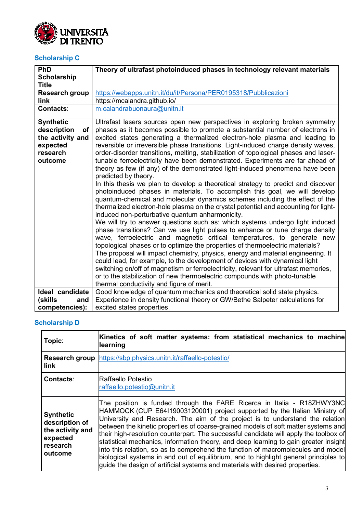

### **Scholarship C**

| PhD                | Theory of ultrafast photoinduced phases in technology relevant materials            |
|--------------------|-------------------------------------------------------------------------------------|
| <b>Scholarship</b> |                                                                                     |
| <b>Title</b>       |                                                                                     |
| Research group     | https://webapps.unitn.it/du/it/Persona/PER0195318/Pubblicazioni                     |
| link               | https://mcalandra.github.io/                                                        |
| <b>Contacts:</b>   | m.calandrabuonaura@unitn.it                                                         |
| <b>Synthetic</b>   | Ultrafast lasers sources open new perspectives in exploring broken symmetry         |
| description<br>οf  | phases as it becomes possible to promote a substantial number of electrons in       |
| the activity and   | excited states generating a thermalized electron-hole plasma and leading to         |
| expected           | reversible or irreversible phase transitions. Light-induced charge density waves,   |
| research           | order-disorder transitions, melting, stabilization of topological phases and laser- |
| outcome            | tunable ferroelectricity have been demonstrated. Experiments are far ahead of       |
|                    | theory as few (if any) of the demonstrated light-induced phenomena have been        |
|                    | predicted by theory.                                                                |
|                    | In this thesis we plan to develop a theoretical strategy to predict and discover    |
|                    | photoinduced phases in materials. To accomplish this goal, we will develop          |
|                    | quantum-chemical and molecular dynamics schemes including the effect of the         |
|                    | thermalized electron-hole plasma on the crystal potential and accounting for light- |
|                    | induced non-perturbative quantum anharmonicity.                                     |
|                    | We will try to answer questions such as: which systems undergo light induced        |
|                    | phase transitions? Can we use light pulses to enhance or tune charge density        |
|                    | wave, ferroelectric and magnetic critical temperatures, to generate new             |
|                    | topological phases or to optimize the properties of thermoelectric materials?       |
|                    | The proposal will impact chemistry, physics, energy and material engineering. It    |
|                    | could lead, for example, to the development of devices with dynamical light         |
|                    | switching on/off of magnetism or ferroelectricity, relevant for ultrafast memories, |
|                    | or to the stabilization of new thermoelectric compounds with photo-tunable          |
|                    | thermal conductivity and figure of merit.                                           |
| Ideal candidate    | Good knowledge of quantum mechanics and theoretical solid state physics.            |
| (skills<br>and     | Experience in density functional theory or GW/Bethe Salpeter calculations for       |
| competencies):     | excited states properties.                                                          |

### **Scholarship D**

| Topic:                                                                                    | Kinetics of soft matter systems: from statistical mechanics to machine<br>learning                                                                                                                                                                                                                                                                                                                                                                                                                                                                                                                                                                                                                                                                                        |
|-------------------------------------------------------------------------------------------|---------------------------------------------------------------------------------------------------------------------------------------------------------------------------------------------------------------------------------------------------------------------------------------------------------------------------------------------------------------------------------------------------------------------------------------------------------------------------------------------------------------------------------------------------------------------------------------------------------------------------------------------------------------------------------------------------------------------------------------------------------------------------|
| link                                                                                      | Research group https://sbp.physics.unitn.it/raffaello-potestio/                                                                                                                                                                                                                                                                                                                                                                                                                                                                                                                                                                                                                                                                                                           |
| <b>Contacts:</b>                                                                          | lRaffaello Potestio<br>raffaello.potestio@unitn.it                                                                                                                                                                                                                                                                                                                                                                                                                                                                                                                                                                                                                                                                                                                        |
| <b>Synthetic</b><br>description of<br>the activity and<br>expected<br>research<br>outcome | The position is funded through the FARE Ricerca in Italia - R18ZHWY3NC<br>HAMMOCK (CUP E64119003120001) project supported by the Italian Ministry of<br>University and Research. The aim of the project is to understand the relation<br>between the kinetic properties of coarse-grained models of soft matter systems and<br>their high-resolution counterpart. The successful candidate will apply the toolbox of<br>statistical mechanics, information theory, and deep learning to gain greater insight<br>into this relation, so as to comprehend the function of macromolecules and model<br>biological systems in and out of equilibrium, and to highlight general principles to<br>guide the design of artificial systems and materials with desired properties. |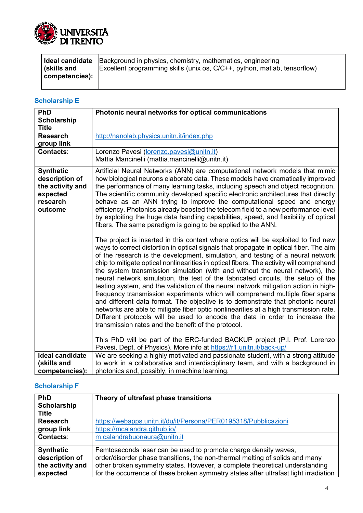

|                | <b>I Ideal candidate</b> Background in physics, chemistry, mathematics, engineering |
|----------------|-------------------------------------------------------------------------------------|
| skills and     | Excellent programming skills (unix os, C/C++, python, matlab, tensorflow)           |
| competencies): |                                                                                     |
|                |                                                                                     |

### **Scholarship E**

| PhD                    | Photonic neural networks for optical communications                                                                                                                                                                                                                                                                                                                                                                                                                                                                                                                                                                                                                                                                                                                                                                                                                                                                                  |
|------------------------|--------------------------------------------------------------------------------------------------------------------------------------------------------------------------------------------------------------------------------------------------------------------------------------------------------------------------------------------------------------------------------------------------------------------------------------------------------------------------------------------------------------------------------------------------------------------------------------------------------------------------------------------------------------------------------------------------------------------------------------------------------------------------------------------------------------------------------------------------------------------------------------------------------------------------------------|
| <b>Scholarship</b>     |                                                                                                                                                                                                                                                                                                                                                                                                                                                                                                                                                                                                                                                                                                                                                                                                                                                                                                                                      |
| <b>Title</b>           |                                                                                                                                                                                                                                                                                                                                                                                                                                                                                                                                                                                                                                                                                                                                                                                                                                                                                                                                      |
| <b>Research</b>        | http://nanolab.physics.unitn.it/index.php                                                                                                                                                                                                                                                                                                                                                                                                                                                                                                                                                                                                                                                                                                                                                                                                                                                                                            |
| group link             |                                                                                                                                                                                                                                                                                                                                                                                                                                                                                                                                                                                                                                                                                                                                                                                                                                                                                                                                      |
| <b>Contacts:</b>       | Lorenzo Pavesi (lorenzo.pavesi@unitn.it)                                                                                                                                                                                                                                                                                                                                                                                                                                                                                                                                                                                                                                                                                                                                                                                                                                                                                             |
|                        | Mattia Mancinelli (mattia.mancinelli@unitn.it)                                                                                                                                                                                                                                                                                                                                                                                                                                                                                                                                                                                                                                                                                                                                                                                                                                                                                       |
| <b>Synthetic</b>       | Artificial Neural Networks (ANN) are computational network models that mimic                                                                                                                                                                                                                                                                                                                                                                                                                                                                                                                                                                                                                                                                                                                                                                                                                                                         |
| description of         | how biological neurons elaborate data. These models have dramatically improved                                                                                                                                                                                                                                                                                                                                                                                                                                                                                                                                                                                                                                                                                                                                                                                                                                                       |
| the activity and       | the performance of many learning tasks, including speech and object recognition.                                                                                                                                                                                                                                                                                                                                                                                                                                                                                                                                                                                                                                                                                                                                                                                                                                                     |
| expected               | The scientific community developed specific electronic architectures that directly                                                                                                                                                                                                                                                                                                                                                                                                                                                                                                                                                                                                                                                                                                                                                                                                                                                   |
| research               | behave as an ANN trying to improve the computational speed and energy                                                                                                                                                                                                                                                                                                                                                                                                                                                                                                                                                                                                                                                                                                                                                                                                                                                                |
| outcome                | efficiency. Photonics already boosted the telecom field to a new performance level                                                                                                                                                                                                                                                                                                                                                                                                                                                                                                                                                                                                                                                                                                                                                                                                                                                   |
|                        | by exploiting the huge data handling capabilities, speed, and flexibility of optical                                                                                                                                                                                                                                                                                                                                                                                                                                                                                                                                                                                                                                                                                                                                                                                                                                                 |
|                        | fibers. The same paradigm is going to be applied to the ANN.                                                                                                                                                                                                                                                                                                                                                                                                                                                                                                                                                                                                                                                                                                                                                                                                                                                                         |
|                        | The project is inserted in this context where optics will be exploited to find new                                                                                                                                                                                                                                                                                                                                                                                                                                                                                                                                                                                                                                                                                                                                                                                                                                                   |
|                        | ways to correct distortion in optical signals that propagate in optical fiber. The aim<br>of the research is the development, simulation, and testing of a neural network<br>chip to mitigate optical nonlinearities in optical fibers. The activity will comprehend<br>the system transmission simulation (with and without the neural network), the<br>neural network simulation, the test of the fabricated circuits, the setup of the<br>testing system, and the validation of the neural network mitigation action in high-<br>frequency transmission experiments which will comprehend multiple fiber spans<br>and different data format. The objective is to demonstrate that photonic neural<br>networks are able to mitigate fiber optic nonlinearities at a high transmission rate.<br>Different protocols will be used to encode the data in order to increase the<br>transmission rates and the benefit of the protocol. |
|                        | This PhD will be part of the ERC-funded BACKUP project (P.I. Prof. Lorenzo<br>Pavesi, Dept. of Physics). More info at https://r1.unitn.it/back-up/                                                                                                                                                                                                                                                                                                                                                                                                                                                                                                                                                                                                                                                                                                                                                                                   |
| <b>Ideal candidate</b> | We are seeking a highly motivated and passionate student, with a strong attitude                                                                                                                                                                                                                                                                                                                                                                                                                                                                                                                                                                                                                                                                                                                                                                                                                                                     |
| (skills and            | to work in a collaborative and interdisciplinary team, and with a background in                                                                                                                                                                                                                                                                                                                                                                                                                                                                                                                                                                                                                                                                                                                                                                                                                                                      |
| competencies):         | photonics and, possibly, in machine learning.                                                                                                                                                                                                                                                                                                                                                                                                                                                                                                                                                                                                                                                                                                                                                                                                                                                                                        |

### **Scholarship F**

| PhD                                                                | Theory of ultrafast phase transitions                                                                                                                                                                                                                                                                                  |
|--------------------------------------------------------------------|------------------------------------------------------------------------------------------------------------------------------------------------------------------------------------------------------------------------------------------------------------------------------------------------------------------------|
| Scholarship                                                        |                                                                                                                                                                                                                                                                                                                        |
| <b>Title</b>                                                       |                                                                                                                                                                                                                                                                                                                        |
| <b>Research</b>                                                    | https://webapps.unitn.it/du/it/Persona/PER0195318/Pubblicazioni                                                                                                                                                                                                                                                        |
| group link                                                         | https://mcalandra.github.io/                                                                                                                                                                                                                                                                                           |
| <b>Contacts:</b>                                                   | m.calandrabuonaura@unitn.it                                                                                                                                                                                                                                                                                            |
| <b>Synthetic</b><br>description of<br>the activity and<br>expected | Femtoseconds laser can be used to promote charge density waves,<br>order/disorder phase transitions, the non-thermal melting of solids and many<br>other broken symmetry states. However, a complete theoretical understanding<br>for the occurrence of these broken symmetry states after ultrafast light irradiation |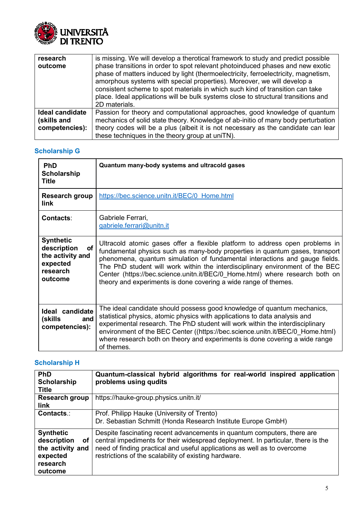

| research<br>outcome            | is missing. We will develop a therotical framework to study and predict possible<br>phase transitions in order to spot relevant photoinduced phases and new exotic<br>phase of matters induced by light (thermoelectricity, ferroelectricity, magnetism,<br>amorphous systems with special properties). Moreover, we will develop a<br>consistent scheme to spot materials in which such kind of transition can take<br>place. Ideal applications will be bulk systems close to structural transitions and<br>2D materials. |
|--------------------------------|-----------------------------------------------------------------------------------------------------------------------------------------------------------------------------------------------------------------------------------------------------------------------------------------------------------------------------------------------------------------------------------------------------------------------------------------------------------------------------------------------------------------------------|
| Ideal candidate<br>(skills and | Passion for theory and computational approaches, good knowledge of quantum<br>mechanics of solid state theory. Knowledge of ab-initio of many body perturbation                                                                                                                                                                                                                                                                                                                                                             |
| competencies):                 | theory codes will be a plus (albeit it is not necessary as the candidate can lear<br>these techniques in the theory group at uniTN).                                                                                                                                                                                                                                                                                                                                                                                        |

### **Scholarship G**

| PhD<br><b>Scholarship</b><br><b>Title</b>                                                    | Quantum many-body systems and ultracold gases                                                                                                                                                                                                                                                                                                                                                                                                                                   |
|----------------------------------------------------------------------------------------------|---------------------------------------------------------------------------------------------------------------------------------------------------------------------------------------------------------------------------------------------------------------------------------------------------------------------------------------------------------------------------------------------------------------------------------------------------------------------------------|
| Research group<br><b>link</b>                                                                | https://bec.science.unitn.it/BEC/0 Home.html                                                                                                                                                                                                                                                                                                                                                                                                                                    |
| <b>Contacts:</b>                                                                             | Gabriele Ferrari,<br>gabriele.ferrari@unitn.it                                                                                                                                                                                                                                                                                                                                                                                                                                  |
| <b>Synthetic</b><br>description<br>οf<br>the activity and<br>expected<br>research<br>outcome | Ultracold atomic gases offer a flexible platform to address open problems in<br>fundamental physics such as many-body properties in quantum gases, transport<br>phenomena, quantum simulation of fundamental interactions and gauge fields.<br>The PhD student will work within the interdisciplinary environment of the BEC<br>Center (https://bec.science.unitn.it/BEC/0 Home.html) where research both on<br>theory and experiments is done covering a wide range of themes. |
| Ideal candidate<br>(skills<br>and<br>competencies):                                          | The ideal candidate should possess good knowledge of quantum mechanics,<br>statistical physics, atomic physics with applications to data analysis and<br>experimental research. The PhD student will work within the interdisciplinary<br>environment of the BEC Center ((https://bec.science.unitn.it/BEC/0 Home.html)<br>where research both on theory and experiments is done covering a wide range<br>of themes.                                                            |

### **Scholarship H**

| PhD<br>Scholarship<br><b>Title</b>                                                           | Quantum-classical hybrid algorithms for real-world inspired application<br>problems using qudits                                                                                                                                                                                                 |
|----------------------------------------------------------------------------------------------|--------------------------------------------------------------------------------------------------------------------------------------------------------------------------------------------------------------------------------------------------------------------------------------------------|
| Research group<br><b>link</b>                                                                | https://hauke-group.physics.unitn.it/                                                                                                                                                                                                                                                            |
| Contacts.:                                                                                   | Prof. Philipp Hauke (University of Trento)<br>Dr. Sebastian Schmitt (Honda Research Institute Europe GmbH)                                                                                                                                                                                       |
| <b>Synthetic</b><br>description<br>οf<br>the activity and<br>expected<br>research<br>outcome | Despite fascinating recent advancements in quantum computers, there are<br>central impediments for their widespread deployment. In particular, there is the<br>need of finding practical and useful applications as well as to overcome<br>restrictions of the scalability of existing hardware. |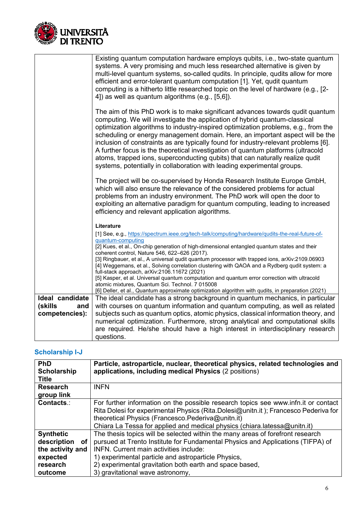

|                 | Existing quantum computation hardware employs qubits, i.e., two-state quantum<br>systems. A very promising and much less researched alternative is given by<br>multi-level quantum systems, so-called qudits. In principle, qudits allow for more<br>efficient and error-tolerant quantum computation [1]. Yet, qudit quantum<br>computing is a hitherto little researched topic on the level of hardware (e.g., [2-<br>4]) as well as quantum algorithms (e.g., [5,6]).                                                                                                                                                                                                   |
|-----------------|----------------------------------------------------------------------------------------------------------------------------------------------------------------------------------------------------------------------------------------------------------------------------------------------------------------------------------------------------------------------------------------------------------------------------------------------------------------------------------------------------------------------------------------------------------------------------------------------------------------------------------------------------------------------------|
|                 | The aim of this PhD work is to make significant advances towards qudit quantum<br>computing. We will investigate the application of hybrid quantum-classical<br>optimization algorithms to industry-inspired optimization problems, e.g., from the<br>scheduling or energy management domain. Here, an important aspect will be the<br>inclusion of constraints as are typically found for industry-relevant problems [6].<br>A further focus is the theoretical investigation of quantum platforms (ultracold<br>atoms, trapped ions, superconducting qubits) that can naturally realize qudit<br>systems, potentially in collaboration with leading experimental groups. |
|                 | The project will be co-supervised by Honda Research Institute Europe GmbH,<br>which will also ensure the relevance of the considered problems for actual<br>problems from an industry environment. The PhD work will open the door to<br>exploiting an alternative paradigm for quantum computing, leading to increased<br>efficiency and relevant application algorithms.                                                                                                                                                                                                                                                                                                 |
|                 | Literature                                                                                                                                                                                                                                                                                                                                                                                                                                                                                                                                                                                                                                                                 |
|                 | [1] See, e.g., https://spectrum.ieee.org/tech-talk/computing/hardware/qudits-the-real-future-of-                                                                                                                                                                                                                                                                                                                                                                                                                                                                                                                                                                           |
|                 | quantum-computing<br>[2] Kues, et al., On-chip generation of high-dimensional entangled quantum states and their                                                                                                                                                                                                                                                                                                                                                                                                                                                                                                                                                           |
|                 | coherent control, Nature 546, 622-626 (2017).<br>[3] Ringbauer, et al., A universal qudit quantum processor with trapped ions, arXiv:2109.06903                                                                                                                                                                                                                                                                                                                                                                                                                                                                                                                            |
|                 | [4] Weggemans, et al., Solving correlation clustering with QAOA and a Rydberg qudit system: a                                                                                                                                                                                                                                                                                                                                                                                                                                                                                                                                                                              |
|                 | full-stack approach, arXiv:2106.11672 (2021)<br>[5] Kasper, et al. Universal quantum computation and quantum error correction with ultracold                                                                                                                                                                                                                                                                                                                                                                                                                                                                                                                               |
|                 | atomic mixtures, Quantum Sci. Technol. 7 015008                                                                                                                                                                                                                                                                                                                                                                                                                                                                                                                                                                                                                            |
| Ideal candidate | [6] Deller, et al., Quantum approximate optimization algorithm with qudits, in preparation (2021)<br>The ideal candidate has a strong background in quantum mechanics, in particular                                                                                                                                                                                                                                                                                                                                                                                                                                                                                       |
| (skills<br>and  | with courses on quantum information and quantum computing, as well as related                                                                                                                                                                                                                                                                                                                                                                                                                                                                                                                                                                                              |
| competencies):  | subjects such as quantum optics, atomic physics, classical information theory, and                                                                                                                                                                                                                                                                                                                                                                                                                                                                                                                                                                                         |
|                 | numerical optimization. Furthermore, strong analytical and computational skills                                                                                                                                                                                                                                                                                                                                                                                                                                                                                                                                                                                            |
|                 | are required. He/she should have a high interest in interdisciplinary research                                                                                                                                                                                                                                                                                                                                                                                                                                                                                                                                                                                             |
|                 | questions.                                                                                                                                                                                                                                                                                                                                                                                                                                                                                                                                                                                                                                                                 |

# **Scholarship I-J**

| <b>PhD</b>        | Particle, astroparticle, nuclear, theoretical physics, related technologies and     |
|-------------------|-------------------------------------------------------------------------------------|
| Scholarship       | applications, including medical Physics (2 positions)                               |
| <b>Title</b>      |                                                                                     |
| <b>Research</b>   | <b>INFN</b>                                                                         |
| group link        |                                                                                     |
| Contacts.:        | For further information on the possible research topics see www.infn.it or contact  |
|                   | Rita Dolesi for experimental Physics (Rita.Dolesi@unitn.it); Francesco Pederiva for |
|                   | theoretical Physics (Francesco.Pederiva@unitn.it)                                   |
|                   | Chiara La Tessa for applied and medical physics (chiara.latessa@unitn.it)           |
| <b>Synthetic</b>  | The thesis topics will be selected within the many areas of forefront research      |
| description<br>оf | pursued at Trento Institute for Fundamental Physics and Applications (TIFPA) of     |
| the activity and  | <b>INFN.</b> Current main activities include:                                       |
| expected          | 1) experimental particle and astroparticle Physics,                                 |
| research          | 2) experimental gravitation both earth and space based,                             |
| outcome           | 3) gravitational wave astronomy,                                                    |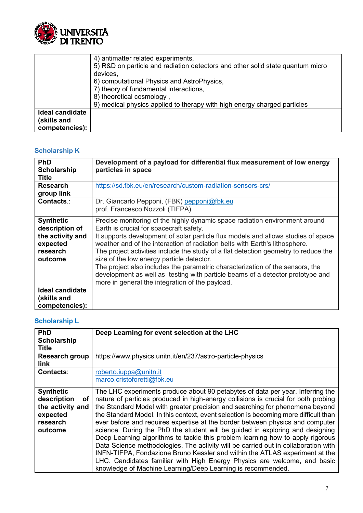

|                 | 4) antimatter related experiments,                                             |
|-----------------|--------------------------------------------------------------------------------|
|                 | 5) R&D on particle and radiation detectors and other solid state quantum micro |
|                 | devices,                                                                       |
|                 | 6) computational Physics and AstroPhysics,                                     |
|                 | 7) theory of fundamental interactions,                                         |
|                 | 8) theoretical cosmology                                                       |
|                 | 9) medical physics applied to therapy with high energy charged particles       |
| Ideal candidate |                                                                                |
| (skills and     |                                                                                |
| competencies):  |                                                                                |

### **Scholarship K**

| <b>PhD</b><br>Scholarship<br><b>Title</b>                                                 | Development of a payload for differential flux measurement of low energy<br>particles in space                                                                                                                                                                                                                                                                                                                                                                                                                                                                                                                                                       |
|-------------------------------------------------------------------------------------------|------------------------------------------------------------------------------------------------------------------------------------------------------------------------------------------------------------------------------------------------------------------------------------------------------------------------------------------------------------------------------------------------------------------------------------------------------------------------------------------------------------------------------------------------------------------------------------------------------------------------------------------------------|
| <b>Research</b><br>group link                                                             | https://sd.fbk.eu/en/research/custom-radiation-sensors-crs/                                                                                                                                                                                                                                                                                                                                                                                                                                                                                                                                                                                          |
| Contacts.:                                                                                | Dr. Giancarlo Pepponi, (FBK) pepponi@fbk.eu<br>prof. Francesco Nozzoli (TIFPA)                                                                                                                                                                                                                                                                                                                                                                                                                                                                                                                                                                       |
| <b>Synthetic</b><br>description of<br>the activity and<br>expected<br>research<br>outcome | Precise monitoring of the highly dynamic space radiation environment around<br>Earth is crucial for spacecraft safety.<br>It supports development of solar particle flux models and allows studies of space<br>weather and of the interaction of radiation belts with Earth's lithosphere.<br>The project activities include the study of a flat detection geometry to reduce the<br>size of the low energy particle detector.<br>The project also includes the parametric characterization of the sensors, the<br>development as well as testing with particle beams of a detector prototype and<br>more in general the integration of the payload. |
| Ideal candidate<br>(skills and<br>competencies):                                          |                                                                                                                                                                                                                                                                                                                                                                                                                                                                                                                                                                                                                                                      |

# **Scholarship L**

| PhD                                                                                          | Deep Learning for event selection at the LHC                                                                                                                                                                                                                                                                                                                                                                                                                                                                                                                                                                                                                                                                                                                                                                                                                                                                     |
|----------------------------------------------------------------------------------------------|------------------------------------------------------------------------------------------------------------------------------------------------------------------------------------------------------------------------------------------------------------------------------------------------------------------------------------------------------------------------------------------------------------------------------------------------------------------------------------------------------------------------------------------------------------------------------------------------------------------------------------------------------------------------------------------------------------------------------------------------------------------------------------------------------------------------------------------------------------------------------------------------------------------|
| Scholarship<br><b>Title</b>                                                                  |                                                                                                                                                                                                                                                                                                                                                                                                                                                                                                                                                                                                                                                                                                                                                                                                                                                                                                                  |
| <b>Research group</b><br><b>link</b>                                                         | https://www.physics.unitn.it/en/237/astro-particle-physics                                                                                                                                                                                                                                                                                                                                                                                                                                                                                                                                                                                                                                                                                                                                                                                                                                                       |
| <b>Contacts:</b>                                                                             | roberto.iuppa@unitn.it<br>marco.cristoforetti@fbk.eu                                                                                                                                                                                                                                                                                                                                                                                                                                                                                                                                                                                                                                                                                                                                                                                                                                                             |
| <b>Synthetic</b><br>description<br>оf<br>the activity and<br>expected<br>research<br>outcome | The LHC experiments produce about 90 petabytes of data per year. Inferring the<br>nature of particles produced in high-energy collisions is crucial for both probing<br>the Standard Model with greater precision and searching for phenomena beyond<br>the Standard Model. In this context, event selection is becoming more difficult than<br>ever before and requires expertise at the border between physics and computer<br>science. During the PhD the student will be guided in exploring and designing<br>Deep Learning algorithms to tackle this problem learning how to apply rigorous<br>Data Science methodologies. The activity will be carried out in collaboration with<br>INFN-TIFPA, Fondazione Bruno Kessler and within the ATLAS experiment at the<br>LHC. Candidates familiar with High Energy Physics are welcome, and basic<br>knowledge of Machine Learning/Deep Learning is recommended. |